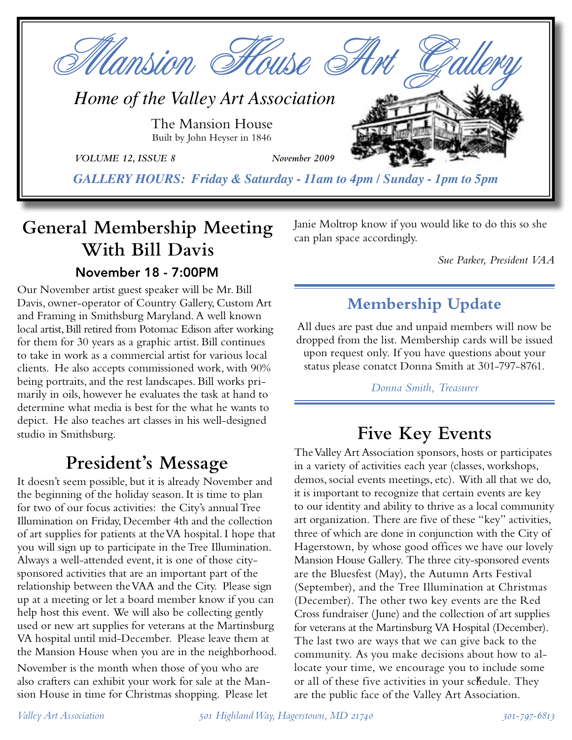

## **General Membership Meeting With Bill Davis** November 18 - 7:00PM

Our November artist guest speaker will be Mr. Bill Davis, owner-operator of Country Gallery, Custom Art and Framing in Smithsburg Maryland. A well known local artist, Bill retired from Potomac Edison after working for them for 30 years as a graphic artist. Bill continues to take in work as a commercial artist for various local clients. He also accepts commissioned work, with 90% being portraits, and the rest landscapes. Bill works primarily in oils, however he evaluates the task at hand to determine what media is best for the what he wants to depict. He also teaches art classes in his well-designed studio in Smithsburg.

# **President's Message**

It doesn't seem possible, but it is already November and the beginning of the holiday season. It is time to plan for two of our focus activities: the City's annual Tree Illumination on Friday, December 4th and the collection of art supplies for patients at the VA hospital. I hope that you will sign up to participate in the Tree Illumination. Always a well-attended event, it is one of those citysponsored activities that are an important part of the relationship between the VAA and the City. Please sign up at a meeting or let a board member know if you can help host this event. We will also be collecting gently used or new art supplies for veterans at the Martinsburg VA hospital until mid-December. Please leave them at the Mansion House when you are in the neighborhood.

November is the month when those of you who are also crafters can exhibit your work for sale at the Mansion House in time for Christmas shopping. Please let

Janie Moltrop know if you would like to do this so she can plan space accordingly.

*Sue Parker, President VAA*

## **Membership Update**

All dues are past due and unpaid members will now be dropped from the list. Membership cards will be issued upon request only. If you have questions about your status please conatct Donna Smith at 301-797-8761.

*Donna Smith, Treasurer*

# **Five Key Events**

The Valley Art Association sponsors, hosts or participates in a variety of activities each year (classes, workshops, demos, social events meetings, etc). With all that we do, it is important to recognize that certain events are key to our identity and ability to thrive as a local community art organization. There are five of these "key" activities, three of which are done in conjunction with the City of Hagerstown, by whose good offices we have our lovely Mansion House Gallery. The three city-sponsored events are the Bluesfest (May), the Autumn Arts Festival (September), and the Tree Illumination at Christmas (December). The other two key events are the Red Cross fundraiser (June) and the collection of art supplies for veterans at the Martinsburg VA Hospital (December). The last two are ways that we can give back to the community. As you make decisions about how to allocate your time, we encourage you to include some or all of these five activities in your schedule. They are the public face of the Valley Art Association.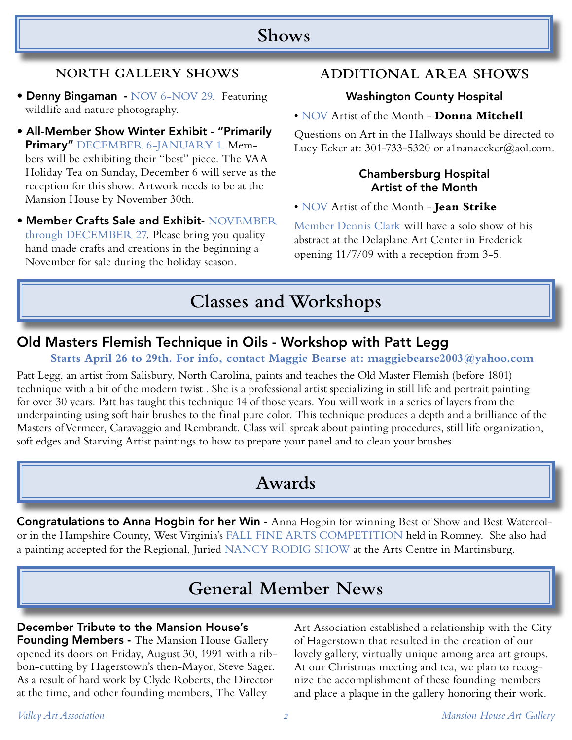## **Shows**

## **NORTH GALLERY SHOWS**

- Denny Bingaman NOV 6-NOV 29. Featuring wildlife and nature photography.
- All-Member Show Winter Exhibit "Primarily Primary" DECEMBER 6-JANUARY 1. Members will be exhibiting their "best" piece. The VAA Holiday Tea on Sunday, December 6 will serve as the reception for this show. Artwork needs to be at the Mansion House by November 30th.
- Member Crafts Sale and Exhibit- NOVEMBER through DECEMBER 27. Please bring you quality hand made crafts and creations in the beginning a November for sale during the holiday season.

## **ADDITIONAL AREA SHOWS**

### Washington County Hospital

#### • NOV Artist of the Month - **Donna Mitchell**

Questions on Art in the Hallways should be directed to Lucy Ecker at: 301-733-5320 or a1nanaecker@aol.com.

#### Chambersburg Hospital Artist of the Month

• NOV Artist of the Month - **Jean Strike**

Member Dennis Clark will have a solo show of his abstract at the Delaplane Art Center in Frederick opening 11/7/09 with a reception from 3-5.

# **Classes and Workshops**

## Old Masters Flemish Technique in Oils - Workshop with Patt Legg

### **Starts April 26 to 29th. For info, contact Maggie Bearse at: maggiebearse2003@yahoo.com**

Patt Legg, an artist from Salisbury, North Carolina, paints and teaches the Old Master Flemish (before 1801) technique with a bit of the modern twist . She is a professional artist specializing in still life and portrait painting for over 30 years. Patt has taught this technique 14 of those years. You will work in a series of layers from the underpainting using soft hair brushes to the final pure color. This technique produces a depth and a brilliance of the Masters ofVermeer, Caravaggio and Rembrandt. Class will spreak about painting procedures, still life organization, soft edges and Starving Artist paintings to how to prepare your panel and to clean your brushes.

# **Awards**

Congratulations to Anna Hogbin for her Win - Anna Hogbin for winning Best of Show and Best Watercolor in the Hampshire County, West Virginia's FALL FINE ARTS COMPETITION held in Romney. She also had a painting accepted for the Regional, Juried NANCY RODIG SHOW at the Arts Centre in Martinsburg.

# **General Member News**

#### December Tribute to the Mansion House's

Founding Members - The Mansion House Gallery opened its doors on Friday, August 30, 1991 with a ribbon-cutting by Hagerstown's then-Mayor, Steve Sager. As a result of hard work by Clyde Roberts, the Director at the time, and other founding members, The Valley

Art Association established a relationship with the City of Hagerstown that resulted in the creation of our lovely gallery, virtually unique among area art groups. At our Christmas meeting and tea, we plan to recognize the accomplishment of these founding members and place a plaque in the gallery honoring their work.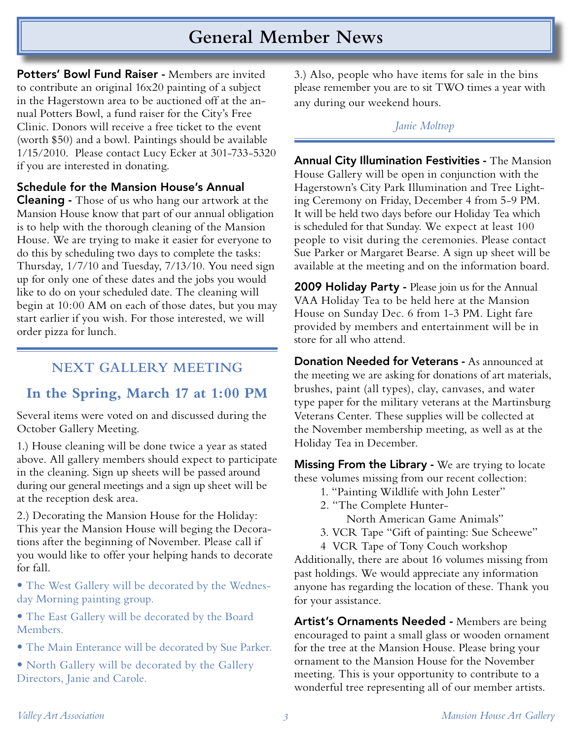# **General Member News**

Potters' Bowl Fund Raiser - Members are invited to contribute an original 16x20 painting of a subject in the Hagerstown area to be auctioned off at the annual Potters Bowl, a fund raiser for the City's Free Clinic. Donors will receive a free ticket to the event (worth \$50) and a bowl. Paintings should be available 1/15/2010. Please contact Lucy Ecker at 301-733-5320 if you are interested in donating.

#### Schedule for the Mansion House's Annual

Cleaning - Those of us who hang our artwork at the Mansion House know that part of our annual obligation is to help with the thorough cleaning of the Mansion House. We are trying to make it easier for everyone to do this by scheduling two days to complete the tasks: Thursday, 1/7/10 and Tuesday, 7/13/10. You need sign up for only one of these dates and the jobs you would like to do on your scheduled date. The cleaning will begin at 10:00 AM on each of those dates, but you may start earlier if you wish. For those interested, we will order pizza for lunch.

## **NEXT GALLERY MEETING**

## **In the Spring, March 17 at 1:00 PM**

Several items were voted on and discussed during the October Gallery Meeting.

1.) House cleaning will be done twice a year as stated above. All gallery members should expect to participate in the cleaning. Sign up sheets will be passed around during our general meetings and a sign up sheet will be at the reception desk area.

2.) Decorating the Mansion House for the Holiday: This year the Mansion House will beging the Decorations after the beginning of November. Please call if you would like to offer your helping hands to decorate for fall.

• The West Gallery will be decorated by the Wednesday Morning painting group.

• The East Gallery will be decorated by the Board Members.

• The Main Enterance will be decorated by Sue Parker.

• North Gallery will be decorated by the Gallery Directors, Janie and Carole.

3.) Also, people who have items for sale in the bins please remember you are to sit TWO times a year with any during our weekend hours.

#### *Janie Moltrop*

Annual City Illumination Festivities - The Mansion House Gallery will be open in conjunction with the Hagerstown's City Park Illumination and Tree Lighting Ceremony on Friday, December 4 from 5-9 PM. It will be held two days before our Holiday Tea which is scheduled for that Sunday. We expect at least 100 people to visit during the ceremonies. Please contact Sue Parker or Margaret Bearse. A sign up sheet will be available at the meeting and on the information board.

**2009 Holiday Party - Please join us for the Annual** VAA Holiday Tea to be held here at the Mansion House on Sunday Dec. 6 from 1-3 PM. Light fare provided by members and entertainment will be in store for all who attend.

Donation Needed for Veterans - As announced at the meeting we are asking for donations of art materials, brushes, paint (all types), clay, canvases, and water type paper for the military veterans at the Martinsburg Veterans Center. These supplies will be collected at the November membership meeting, as well as at the Holiday Tea in December.

**Missing From the Library - We are trying to locate** these volumes missing from our recent collection:

- 1. "Painting Wildlife with John Lester"
- 2. "The Complete Hunter-

North American Game Animals"

- 3. VCR Tape "Gift of painting: Sue Scheewe"
- 4 VCR Tape of Tony Couch workshop

Additionally, there are about 16 volumes missing from past holdings. We would appreciate any information anyone has regarding the location of these. Thank you for your assistance.

Artist's Ornaments Needed - Members are being encouraged to paint a small glass or wooden ornament for the tree at the Mansion House. Please bring your ornament to the Mansion House for the November meeting. This is your opportunity to contribute to a wonderful tree representing all of our member artists.